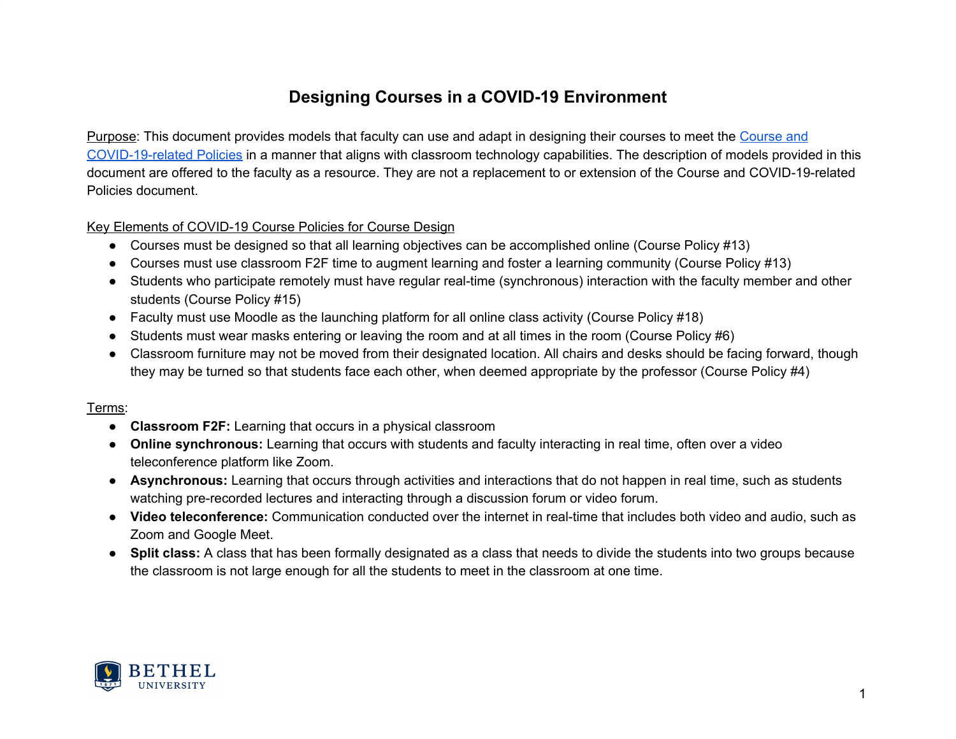# **Designing Courses in a COVID-19 Environment**

Purpose: This document provides models that faculty can use and adapt in designing their courses to meet the [Course](https://www.bethel.edu/faculty-development/files/courses-and-covid-19-related-policies-july-15-2020.pdf) and [COVID-19-related](https://www.bethel.edu/faculty-development/files/courses-and-covid-19-related-policies-july-15-2020.pdf) Policies in a manner that aligns with classroom technology capabilities. The description of models provided in this document are offered to the faculty as a resource. They are not a replacement to or extension of the Course and COVID-19-related Policies document.

#### Key Elements of COVID-19 Course Policies for Course Design

- Courses must be designed so that all learning objectives can be accomplished online (Course Policy #13)
- Courses must use classroom F2F time to augment learning and foster a learning community (Course Policy #13)
- Students who participate remotely must have regular real-time (synchronous) interaction with the faculty member and other students (Course Policy #15)
- Faculty must use Moodle as the launching platform for all online class activity (Course Policy #18)
- Students must wear masks entering or leaving the room and at all times in the room (Course Policy #6)
- Classroom furniture may not be moved from their designated location. All chairs and desks should be facing forward, though they may be turned so that students face each other, when deemed appropriate by the professor (Course Policy #4)

### Terms:

- **Classroom F2F:** Learning that occurs in a physical classroom
- **Online synchronous:** Learning that occurs with students and faculty interacting in real time, often over a video teleconference platform like Zoom.
- **Asynchronous:** Learning that occurs through activities and interactions that do not happen in real time, such as students watching pre-recorded lectures and interacting through a discussion forum or video forum.
- **Video teleconference:** Communication conducted over the internet in real-time that includes both video and audio, such as Zoom and Google Meet.
- **Split class:** A class that has been formally designated as a class that needs to divide the students into two groups because the classroom is not large enough for all the students to meet in the classroom at one time.

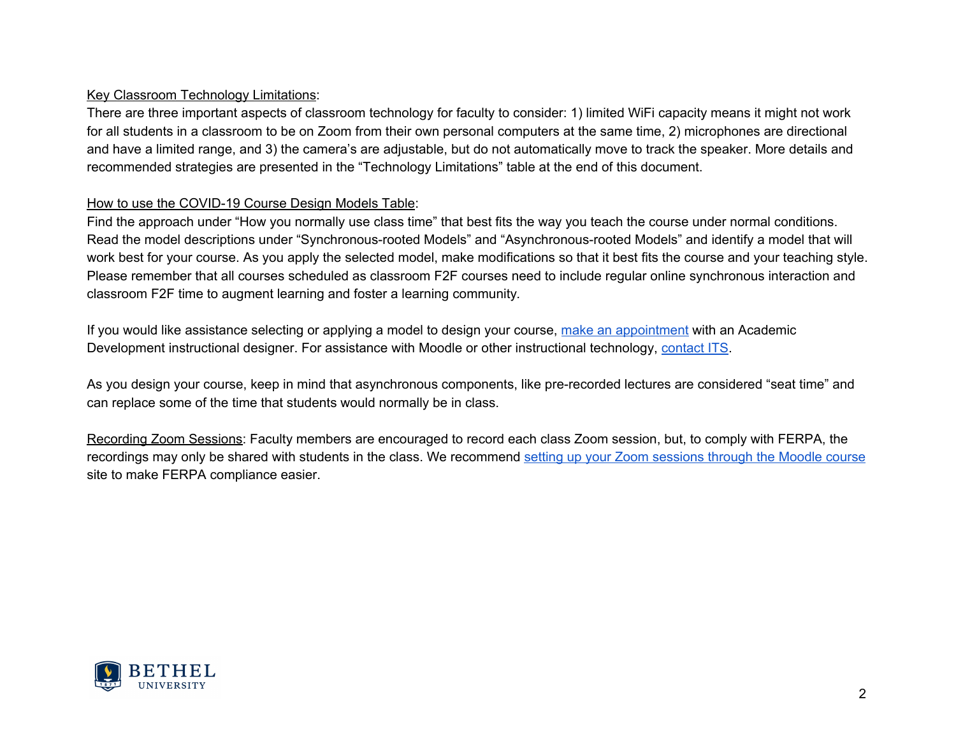## Key Classroom Technology Limitations:

There are three important aspects of classroom technology for faculty to consider: 1) limited WiFi capacity means it might not work for all students in a classroom to be on Zoom from their own personal computers at the same time, 2) microphones are directional and have a limited range, and 3) the camera's are adjustable, but do not automatically move to track the speaker. More details and recommended strategies are presented in the "Technology Limitations" table at the end of this document.

### How to use the COVID-19 Course Design Models Table:

Find the approach under "How you normally use class time" that best fits the way you teach the course under normal conditions. Read the model descriptions under "Synchronous-rooted Models" and "Asynchronous-rooted Models" and identify a model that will work best for your course. As you apply the selected model, make modifications so that it best fits the course and your teaching style. Please remember that all courses scheduled as classroom F2F courses need to include regular online synchronous interaction and classroom F2F time to augment learning and foster a learning community*.*

If you would like assistance selecting or applying a model to design your course, make an [appointment](https://calendly.com/academic-development) with an Academic Development instructional designer. For assistance with Moodle or other instructional technology, [contact](https://jira.bethel.edu/servicedesk/customer/portal/1) ITS.

As you design your course, keep in mind that asynchronous components, like pre-recorded lectures are considered "seat time" and can replace some of the time that students would normally be in class.

Recording Zoom Sessions: Faculty members are encouraged to record each class Zoom session, but, to comply with FERPA, the recordings may only be shared with students in the class. We recommend setting up your Zoom [sessions](https://youtu.be/kOgxyLVKqeQ) through the Moodle course site to make FERPA compliance easier.

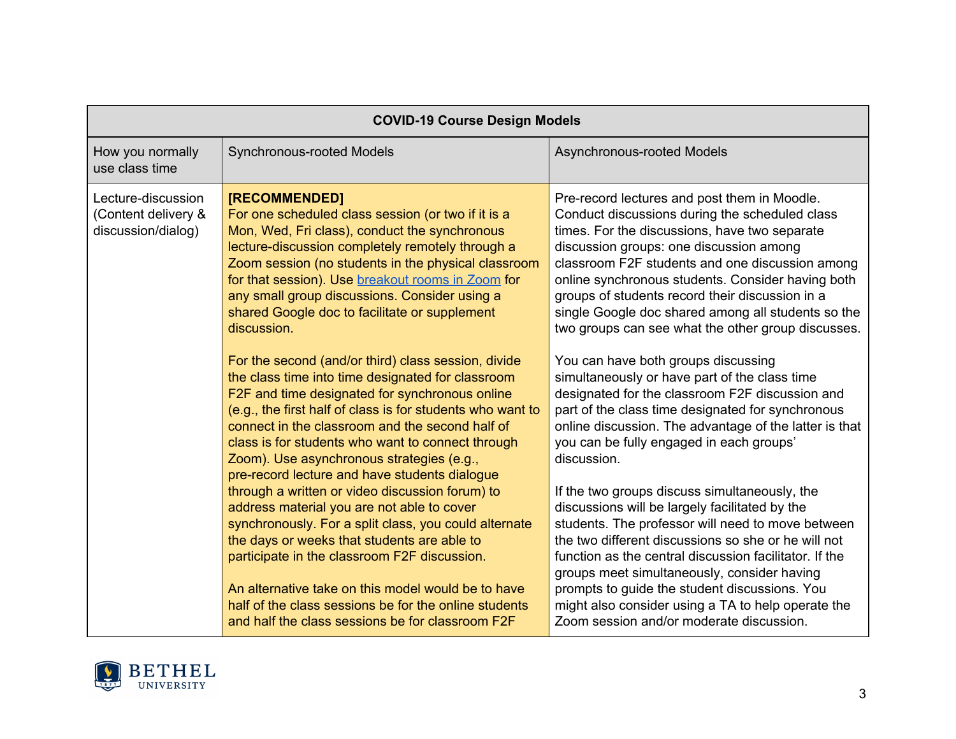| <b>COVID-19 Course Design Models</b>                            |                                                                                                                                                                                                                                                                                                                                                                                                                                                              |                                                                                                                                                                                                                                                                                                                                                                                                                                                                                                          |
|-----------------------------------------------------------------|--------------------------------------------------------------------------------------------------------------------------------------------------------------------------------------------------------------------------------------------------------------------------------------------------------------------------------------------------------------------------------------------------------------------------------------------------------------|----------------------------------------------------------------------------------------------------------------------------------------------------------------------------------------------------------------------------------------------------------------------------------------------------------------------------------------------------------------------------------------------------------------------------------------------------------------------------------------------------------|
| How you normally<br>use class time                              | <b>Synchronous-rooted Models</b>                                                                                                                                                                                                                                                                                                                                                                                                                             | Asynchronous-rooted Models                                                                                                                                                                                                                                                                                                                                                                                                                                                                               |
| Lecture-discussion<br>(Content delivery &<br>discussion/dialog) | [RECOMMENDED]<br>For one scheduled class session (or two if it is a<br>Mon, Wed, Fri class), conduct the synchronous<br>lecture-discussion completely remotely through a<br>Zoom session (no students in the physical classroom<br>for that session). Use breakout rooms in Zoom for<br>any small group discussions. Consider using a<br>shared Google doc to facilitate or supplement<br>discussion.<br>For the second (and/or third) class session, divide | Pre-record lectures and post them in Moodle.<br>Conduct discussions during the scheduled class<br>times. For the discussions, have two separate<br>discussion groups: one discussion among<br>classroom F2F students and one discussion among<br>online synchronous students. Consider having both<br>groups of students record their discussion in a<br>single Google doc shared among all students so the<br>two groups can see what the other group discusses.<br>You can have both groups discussing |
|                                                                 | the class time into time designated for classroom<br>F2F and time designated for synchronous online<br>(e.g., the first half of class is for students who want to<br>connect in the classroom and the second half of<br>class is for students who want to connect through<br>Zoom). Use asynchronous strategies (e.g.,<br>pre-record lecture and have students dialogue                                                                                      | simultaneously or have part of the class time<br>designated for the classroom F2F discussion and<br>part of the class time designated for synchronous<br>online discussion. The advantage of the latter is that<br>you can be fully engaged in each groups'<br>discussion.                                                                                                                                                                                                                               |
|                                                                 | through a written or video discussion forum) to<br>address material you are not able to cover<br>synchronously. For a split class, you could alternate<br>the days or weeks that students are able to<br>participate in the classroom F2F discussion.<br>An alternative take on this model would be to have<br>half of the class sessions be for the online students<br>and half the class sessions be for classroom F2F                                     | If the two groups discuss simultaneously, the<br>discussions will be largely facilitated by the<br>students. The professor will need to move between<br>the two different discussions so she or he will not<br>function as the central discussion facilitator. If the<br>groups meet simultaneously, consider having<br>prompts to guide the student discussions. You<br>might also consider using a TA to help operate the<br>Zoom session and/or moderate discussion.                                  |

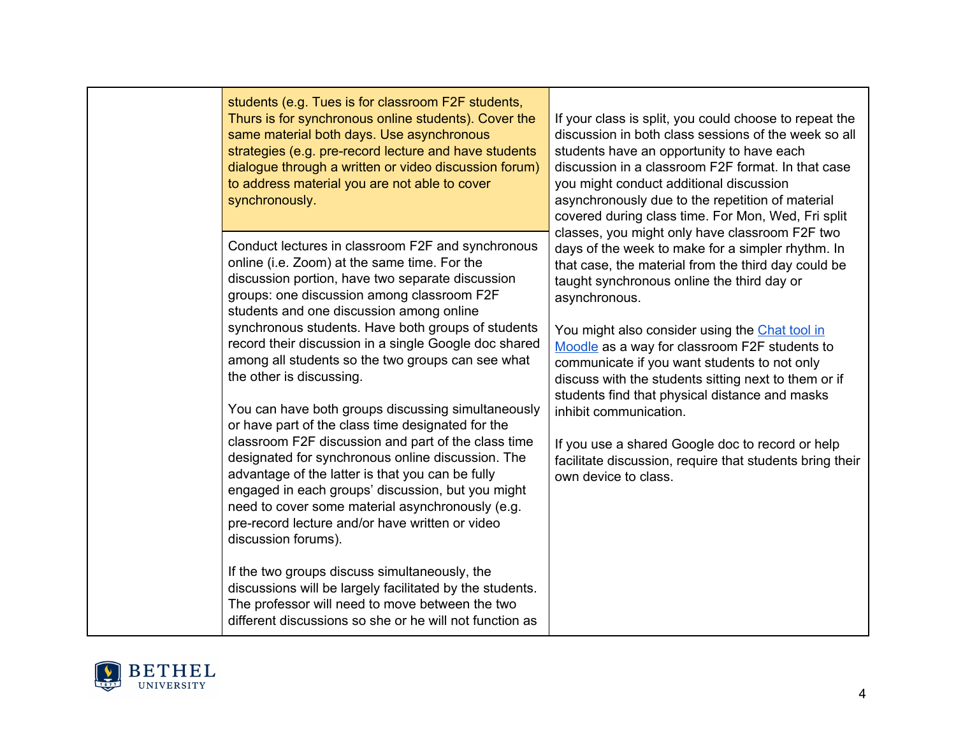| students (e.g. Tues is for classroom F2F students,<br>Thurs is for synchronous online students). Cover the<br>same material both days. Use asynchronous<br>strategies (e.g. pre-record lecture and have students<br>dialogue through a written or video discussion forum)<br>to address material you are not able to cover<br>synchronously.                                                                                                                                                                                                                                                                                                                                                                                                                                                                                                                                                                                                                                                                                                                                                                                             | If your class is split, you could choose to repeat the<br>discussion in both class sessions of the week so all<br>students have an opportunity to have each<br>discussion in a classroom F2F format. In that case<br>you might conduct additional discussion<br>asynchronously due to the repetition of material<br>covered during class time. For Mon, Wed, Fri split                                                                                                                                                                                                                                                                                   |
|------------------------------------------------------------------------------------------------------------------------------------------------------------------------------------------------------------------------------------------------------------------------------------------------------------------------------------------------------------------------------------------------------------------------------------------------------------------------------------------------------------------------------------------------------------------------------------------------------------------------------------------------------------------------------------------------------------------------------------------------------------------------------------------------------------------------------------------------------------------------------------------------------------------------------------------------------------------------------------------------------------------------------------------------------------------------------------------------------------------------------------------|----------------------------------------------------------------------------------------------------------------------------------------------------------------------------------------------------------------------------------------------------------------------------------------------------------------------------------------------------------------------------------------------------------------------------------------------------------------------------------------------------------------------------------------------------------------------------------------------------------------------------------------------------------|
| Conduct lectures in classroom F2F and synchronous<br>online (i.e. Zoom) at the same time. For the<br>discussion portion, have two separate discussion<br>groups: one discussion among classroom F2F<br>students and one discussion among online<br>synchronous students. Have both groups of students<br>record their discussion in a single Google doc shared<br>among all students so the two groups can see what<br>the other is discussing.<br>You can have both groups discussing simultaneously<br>or have part of the class time designated for the<br>classroom F2F discussion and part of the class time<br>designated for synchronous online discussion. The<br>advantage of the latter is that you can be fully<br>engaged in each groups' discussion, but you might<br>need to cover some material asynchronously (e.g.<br>pre-record lecture and/or have written or video<br>discussion forums).<br>If the two groups discuss simultaneously, the<br>discussions will be largely facilitated by the students.<br>The professor will need to move between the two<br>different discussions so she or he will not function as | classes, you might only have classroom F2F two<br>days of the week to make for a simpler rhythm. In<br>that case, the material from the third day could be<br>taught synchronous online the third day or<br>asynchronous.<br>You might also consider using the Chat tool in<br>Moodle as a way for classroom F2F students to<br>communicate if you want students to not only<br>discuss with the students sitting next to them or if<br>students find that physical distance and masks<br>inhibit communication.<br>If you use a shared Google doc to record or help<br>facilitate discussion, require that students bring their<br>own device to class. |

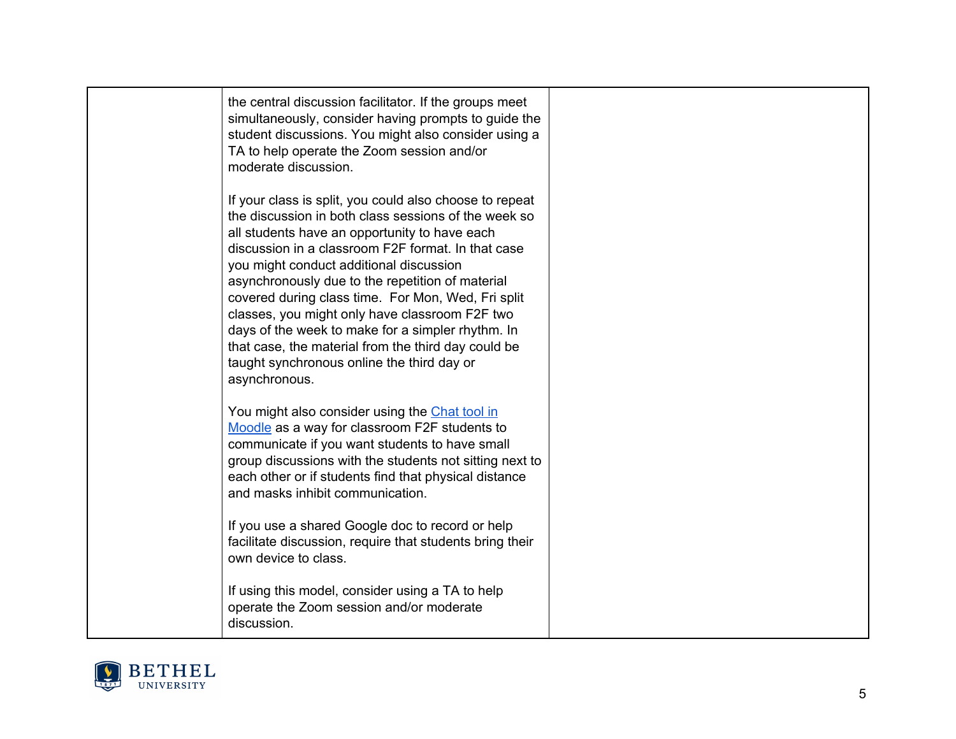| the central discussion facilitator. If the groups meet<br>simultaneously, consider having prompts to guide the<br>student discussions. You might also consider using a<br>TA to help operate the Zoom session and/or<br>moderate discussion.                                                                                                                                                                                                                                                                                                                                                             |  |
|----------------------------------------------------------------------------------------------------------------------------------------------------------------------------------------------------------------------------------------------------------------------------------------------------------------------------------------------------------------------------------------------------------------------------------------------------------------------------------------------------------------------------------------------------------------------------------------------------------|--|
| If your class is split, you could also choose to repeat<br>the discussion in both class sessions of the week so<br>all students have an opportunity to have each<br>discussion in a classroom F2F format. In that case<br>you might conduct additional discussion<br>asynchronously due to the repetition of material<br>covered during class time. For Mon, Wed, Fri split<br>classes, you might only have classroom F2F two<br>days of the week to make for a simpler rhythm. In<br>that case, the material from the third day could be<br>taught synchronous online the third day or<br>asynchronous. |  |
| You might also consider using the Chat tool in<br>Moodle as a way for classroom F2F students to<br>communicate if you want students to have small<br>group discussions with the students not sitting next to<br>each other or if students find that physical distance<br>and masks inhibit communication.                                                                                                                                                                                                                                                                                                |  |
| If you use a shared Google doc to record or help<br>facilitate discussion, require that students bring their<br>own device to class.                                                                                                                                                                                                                                                                                                                                                                                                                                                                     |  |
| If using this model, consider using a TA to help<br>operate the Zoom session and/or moderate<br>discussion.                                                                                                                                                                                                                                                                                                                                                                                                                                                                                              |  |

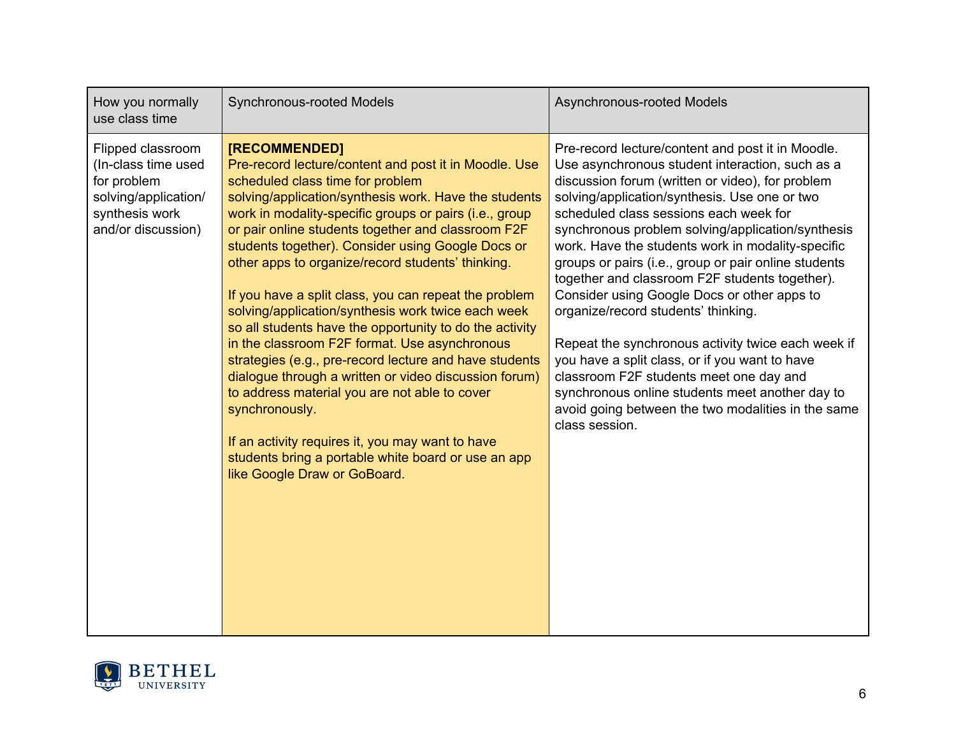| How you normally<br>use class time                                                                                      | <b>Synchronous-rooted Models</b>                                                                                                                                                                                                                                                                                                                                                                                                                                                                                                                                                                                                                                                                                                                                                                                                                                                                                                                          | Asynchronous-rooted Models                                                                                                                                                                                                                                                                                                                                                                                                                                                                                                                                                                                                                                                                                                                                                                                                                  |
|-------------------------------------------------------------------------------------------------------------------------|-----------------------------------------------------------------------------------------------------------------------------------------------------------------------------------------------------------------------------------------------------------------------------------------------------------------------------------------------------------------------------------------------------------------------------------------------------------------------------------------------------------------------------------------------------------------------------------------------------------------------------------------------------------------------------------------------------------------------------------------------------------------------------------------------------------------------------------------------------------------------------------------------------------------------------------------------------------|---------------------------------------------------------------------------------------------------------------------------------------------------------------------------------------------------------------------------------------------------------------------------------------------------------------------------------------------------------------------------------------------------------------------------------------------------------------------------------------------------------------------------------------------------------------------------------------------------------------------------------------------------------------------------------------------------------------------------------------------------------------------------------------------------------------------------------------------|
| Flipped classroom<br>(In-class time used<br>for problem<br>solving/application/<br>synthesis work<br>and/or discussion) | [RECOMMENDED]<br>Pre-record lecture/content and post it in Moodle. Use<br>scheduled class time for problem<br>solving/application/synthesis work. Have the students<br>work in modality-specific groups or pairs (i.e., group<br>or pair online students together and classroom F2F<br>students together). Consider using Google Docs or<br>other apps to organize/record students' thinking.<br>If you have a split class, you can repeat the problem<br>solving/application/synthesis work twice each week<br>so all students have the opportunity to do the activity<br>in the classroom F2F format. Use asynchronous<br>strategies (e.g., pre-record lecture and have students<br>dialogue through a written or video discussion forum)<br>to address material you are not able to cover<br>synchronously.<br>If an activity requires it, you may want to have<br>students bring a portable white board or use an app<br>like Google Draw or GoBoard. | Pre-record lecture/content and post it in Moodle.<br>Use asynchronous student interaction, such as a<br>discussion forum (written or video), for problem<br>solving/application/synthesis. Use one or two<br>scheduled class sessions each week for<br>synchronous problem solving/application/synthesis<br>work. Have the students work in modality-specific<br>groups or pairs (i.e., group or pair online students<br>together and classroom F2F students together).<br>Consider using Google Docs or other apps to<br>organize/record students' thinking.<br>Repeat the synchronous activity twice each week if<br>you have a split class, or if you want to have<br>classroom F2F students meet one day and<br>synchronous online students meet another day to<br>avoid going between the two modalities in the same<br>class session. |

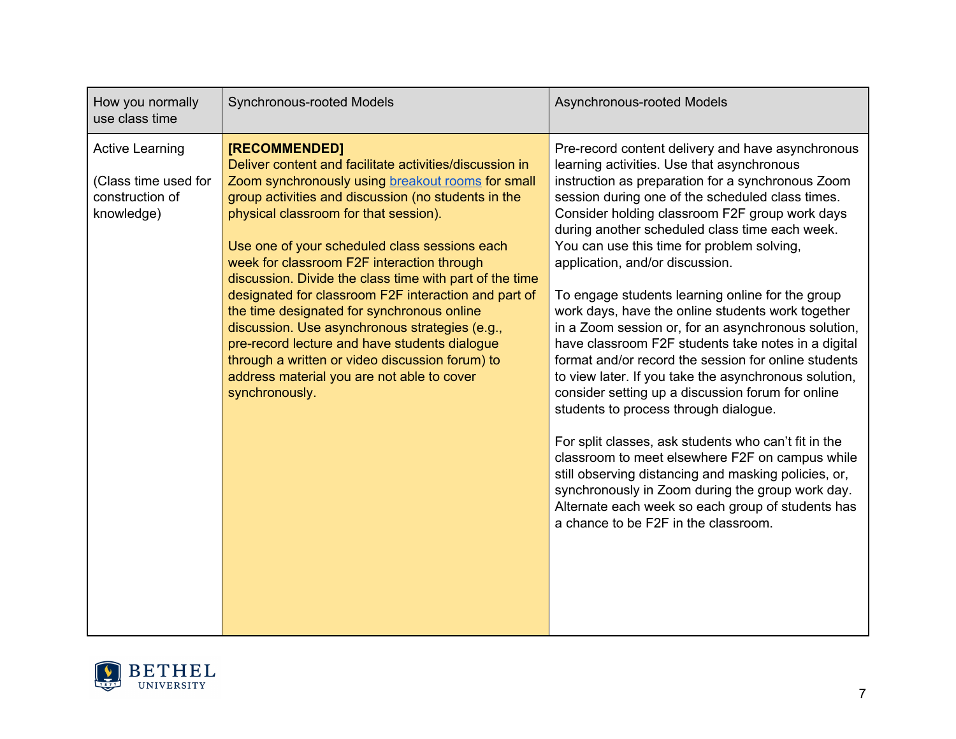| How you normally<br>use class time                                              | <b>Synchronous-rooted Models</b>                                                                                                                                                                                                                                                                                                                                                                                                                                                                                                                                                                                                                                                                                    | Asynchronous-rooted Models                                                                                                                                                                                                                                                                                                                                                                                                                                                                                                                                                                                                                                                                                                                                                                                                                                                                                                                                                                                                                                                                                                                              |
|---------------------------------------------------------------------------------|---------------------------------------------------------------------------------------------------------------------------------------------------------------------------------------------------------------------------------------------------------------------------------------------------------------------------------------------------------------------------------------------------------------------------------------------------------------------------------------------------------------------------------------------------------------------------------------------------------------------------------------------------------------------------------------------------------------------|---------------------------------------------------------------------------------------------------------------------------------------------------------------------------------------------------------------------------------------------------------------------------------------------------------------------------------------------------------------------------------------------------------------------------------------------------------------------------------------------------------------------------------------------------------------------------------------------------------------------------------------------------------------------------------------------------------------------------------------------------------------------------------------------------------------------------------------------------------------------------------------------------------------------------------------------------------------------------------------------------------------------------------------------------------------------------------------------------------------------------------------------------------|
| <b>Active Learning</b><br>(Class time used for<br>construction of<br>knowledge) | [RECOMMENDED]<br>Deliver content and facilitate activities/discussion in<br>Zoom synchronously using breakout rooms for small<br>group activities and discussion (no students in the<br>physical classroom for that session).<br>Use one of your scheduled class sessions each<br>week for classroom F2F interaction through<br>discussion. Divide the class time with part of the time<br>designated for classroom F2F interaction and part of<br>the time designated for synchronous online<br>discussion. Use asynchronous strategies (e.g.,<br>pre-record lecture and have students dialogue<br>through a written or video discussion forum) to<br>address material you are not able to cover<br>synchronously. | Pre-record content delivery and have asynchronous<br>learning activities. Use that asynchronous<br>instruction as preparation for a synchronous Zoom<br>session during one of the scheduled class times.<br>Consider holding classroom F2F group work days<br>during another scheduled class time each week.<br>You can use this time for problem solving,<br>application, and/or discussion.<br>To engage students learning online for the group<br>work days, have the online students work together<br>in a Zoom session or, for an asynchronous solution,<br>have classroom F2F students take notes in a digital<br>format and/or record the session for online students<br>to view later. If you take the asynchronous solution,<br>consider setting up a discussion forum for online<br>students to process through dialogue.<br>For split classes, ask students who can't fit in the<br>classroom to meet elsewhere F2F on campus while<br>still observing distancing and masking policies, or,<br>synchronously in Zoom during the group work day.<br>Alternate each week so each group of students has<br>a chance to be F2F in the classroom. |

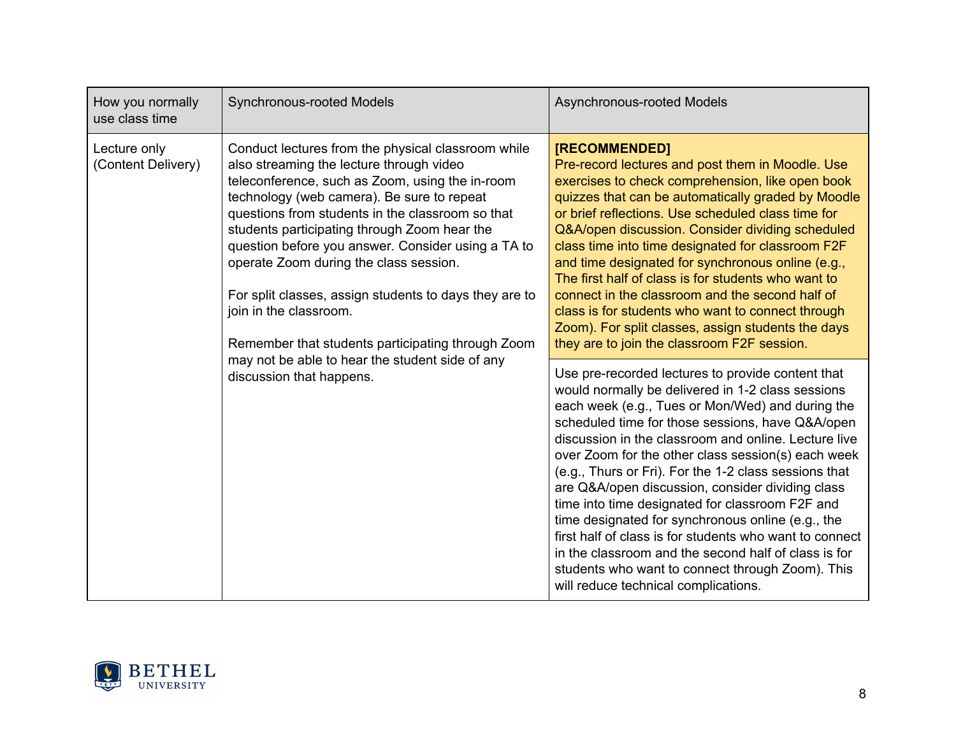| How you normally<br>use class time | <b>Synchronous-rooted Models</b>                                                                                                                                                                                                                                                                                                                                                                                                                                                                                                                                                                                            | Asynchronous-rooted Models                                                                                                                                                                                                                                                                                                                                                                                                                                                                                                                                                                                                                                                                                                                                       |
|------------------------------------|-----------------------------------------------------------------------------------------------------------------------------------------------------------------------------------------------------------------------------------------------------------------------------------------------------------------------------------------------------------------------------------------------------------------------------------------------------------------------------------------------------------------------------------------------------------------------------------------------------------------------------|------------------------------------------------------------------------------------------------------------------------------------------------------------------------------------------------------------------------------------------------------------------------------------------------------------------------------------------------------------------------------------------------------------------------------------------------------------------------------------------------------------------------------------------------------------------------------------------------------------------------------------------------------------------------------------------------------------------------------------------------------------------|
| Lecture only<br>(Content Delivery) | Conduct lectures from the physical classroom while<br>also streaming the lecture through video<br>teleconference, such as Zoom, using the in-room<br>technology (web camera). Be sure to repeat<br>questions from students in the classroom so that<br>students participating through Zoom hear the<br>question before you answer. Consider using a TA to<br>operate Zoom during the class session.<br>For split classes, assign students to days they are to<br>join in the classroom.<br>Remember that students participating through Zoom<br>may not be able to hear the student side of any<br>discussion that happens. | [RECOMMENDED]<br>Pre-record lectures and post them in Moodle. Use<br>exercises to check comprehension, like open book<br>quizzes that can be automatically graded by Moodle<br>or brief reflections. Use scheduled class time for<br>Q&A/open discussion. Consider dividing scheduled<br>class time into time designated for classroom F2F<br>and time designated for synchronous online (e.g.,<br>The first half of class is for students who want to<br>connect in the classroom and the second half of<br>class is for students who want to connect through<br>Zoom). For split classes, assign students the days<br>they are to join the classroom F2F session.                                                                                              |
|                                    |                                                                                                                                                                                                                                                                                                                                                                                                                                                                                                                                                                                                                             | Use pre-recorded lectures to provide content that<br>would normally be delivered in 1-2 class sessions<br>each week (e.g., Tues or Mon/Wed) and during the<br>scheduled time for those sessions, have Q&A/open<br>discussion in the classroom and online. Lecture live<br>over Zoom for the other class session(s) each week<br>(e.g., Thurs or Fri). For the 1-2 class sessions that<br>are Q&A/open discussion, consider dividing class<br>time into time designated for classroom F2F and<br>time designated for synchronous online (e.g., the<br>first half of class is for students who want to connect<br>in the classroom and the second half of class is for<br>students who want to connect through Zoom). This<br>will reduce technical complications. |

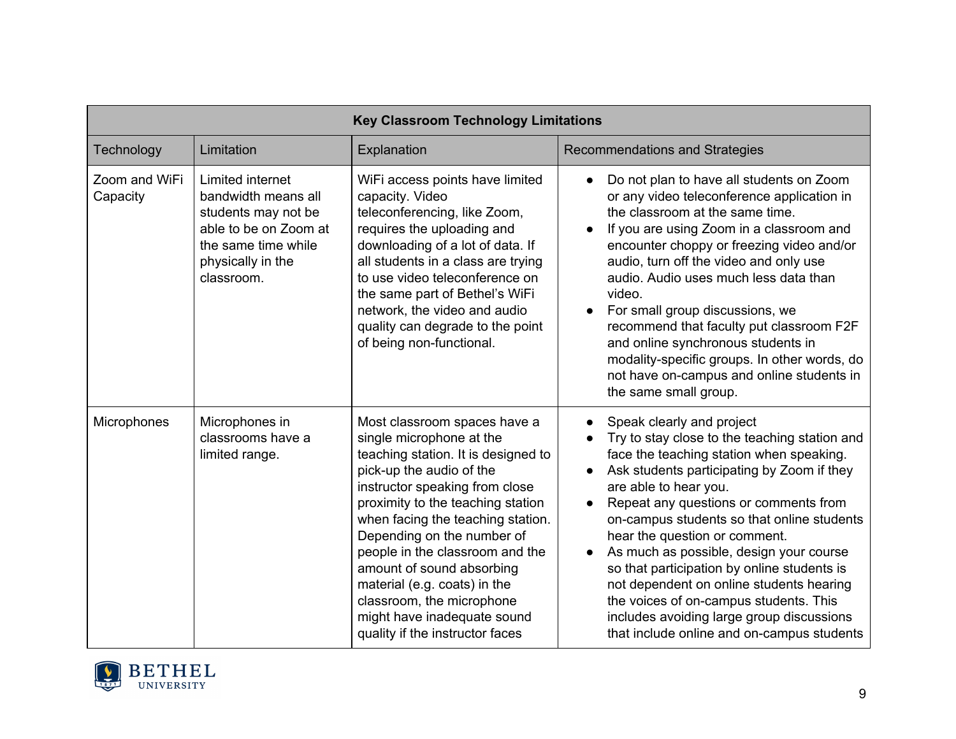| <b>Key Classroom Technology Limitations</b> |                                                                                                                                                   |                                                                                                                                                                                                                                                                                                                                                                                                                                                                      |                                                                                                                                                                                                                                                                                                                                                                                                                                                                                                                                                                                                  |
|---------------------------------------------|---------------------------------------------------------------------------------------------------------------------------------------------------|----------------------------------------------------------------------------------------------------------------------------------------------------------------------------------------------------------------------------------------------------------------------------------------------------------------------------------------------------------------------------------------------------------------------------------------------------------------------|--------------------------------------------------------------------------------------------------------------------------------------------------------------------------------------------------------------------------------------------------------------------------------------------------------------------------------------------------------------------------------------------------------------------------------------------------------------------------------------------------------------------------------------------------------------------------------------------------|
| Technology                                  | Limitation                                                                                                                                        | Explanation                                                                                                                                                                                                                                                                                                                                                                                                                                                          | Recommendations and Strategies                                                                                                                                                                                                                                                                                                                                                                                                                                                                                                                                                                   |
| Zoom and WiFi<br>Capacity                   | Limited internet<br>bandwidth means all<br>students may not be<br>able to be on Zoom at<br>the same time while<br>physically in the<br>classroom. | WiFi access points have limited<br>capacity. Video<br>teleconferencing, like Zoom,<br>requires the uploading and<br>downloading of a lot of data. If<br>all students in a class are trying<br>to use video teleconference on<br>the same part of Bethel's WiFi<br>network, the video and audio<br>quality can degrade to the point<br>of being non-functional.                                                                                                       | Do not plan to have all students on Zoom<br>or any video teleconference application in<br>the classroom at the same time.<br>If you are using Zoom in a classroom and<br>$\bullet$<br>encounter choppy or freezing video and/or<br>audio, turn off the video and only use<br>audio. Audio uses much less data than<br>video.<br>For small group discussions, we<br>recommend that faculty put classroom F2F<br>and online synchronous students in<br>modality-specific groups. In other words, do<br>not have on-campus and online students in<br>the same small group.                          |
| Microphones                                 | Microphones in<br>classrooms have a<br>limited range.                                                                                             | Most classroom spaces have a<br>single microphone at the<br>teaching station. It is designed to<br>pick-up the audio of the<br>instructor speaking from close<br>proximity to the teaching station<br>when facing the teaching station.<br>Depending on the number of<br>people in the classroom and the<br>amount of sound absorbing<br>material (e.g. coats) in the<br>classroom, the microphone<br>might have inadequate sound<br>quality if the instructor faces | Speak clearly and project<br>Try to stay close to the teaching station and<br>face the teaching station when speaking.<br>Ask students participating by Zoom if they<br>are able to hear you.<br>Repeat any questions or comments from<br>on-campus students so that online students<br>hear the question or comment.<br>As much as possible, design your course<br>so that participation by online students is<br>not dependent on online students hearing<br>the voices of on-campus students. This<br>includes avoiding large group discussions<br>that include online and on-campus students |